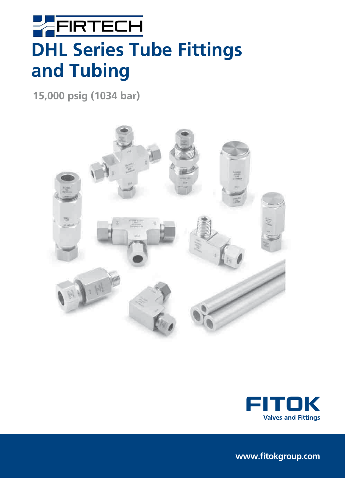# **EERTECH DHL Series Tube Fittings and Tubing**

**15,000 psig (1034 bar)**





**www.fitokgroup.com**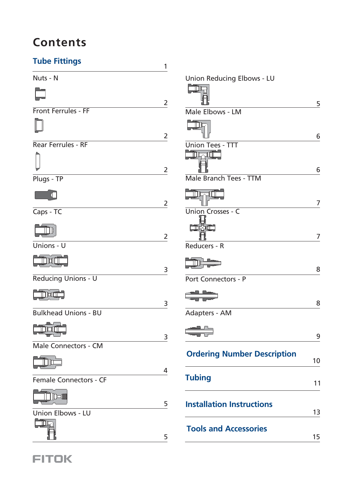## **Contents**

## **Tube Fittings**

| <b>TUDE FITTINGS</b>          | 1 |
|-------------------------------|---|
| Nuts - N                      |   |
|                               |   |
| Front Ferrules - FF           | 2 |
|                               |   |
|                               | 2 |
| Rear Ferrules - RF            |   |
|                               |   |
|                               | 2 |
| Plugs - TP                    |   |
|                               | 2 |
| Caps - TC                     |   |
|                               |   |
| Unions - U                    | 2 |
|                               |   |
| Murr                          | 3 |
| Reducing Unions - U           |   |
| mun                           |   |
| <b>Bulkhead Unions - BU</b>   | 3 |
|                               |   |
|                               | 3 |
| <b>Male Connectors - CM</b>   |   |
|                               |   |
| <b>Female Connectors - CF</b> | 4 |
|                               |   |
|                               | 5 |
| <b>Union Elbows - LU</b>      |   |
| $\blacksquare$                |   |
|                               | 5 |

| Union Reducing Elbows - LU<br>m    |    |
|------------------------------------|----|
|                                    | 5  |
| Male Elbows - LM                   |    |
|                                    | 6  |
| <b>Union Tees - TTT</b>            |    |
|                                    | 6  |
| Male Branch Tees - TTM             |    |
|                                    | 7  |
| <b>Union Crosses - C</b>           |    |
| <b>ATT</b><br>D                    | 7  |
| Reducers - R                       |    |
|                                    | 8  |
| Port Connectors - P                |    |
|                                    | 8  |
| Adapters - AM                      |    |
|                                    | 9. |
| <b>Ordering Number Description</b> |    |
|                                    | 10 |
| <b>Tubing</b>                      | 11 |
|                                    |    |
| <b>Installation Instructions</b>   | 13 |
| <b>Tools and Accessories</b>       |    |
|                                    | 15 |

**FITOK**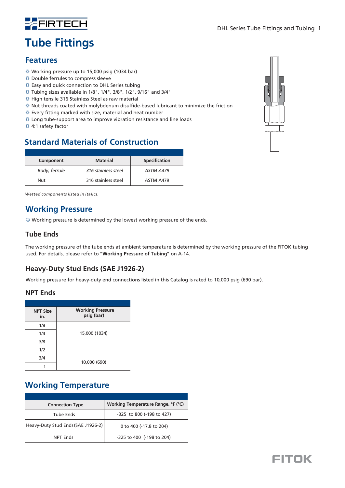

## **Tube Fittings**

### **Features**

- Working pressure up to 15,000 psig (1034 bar) ◎
- © Double ferrules to compress sleeve
- ◎ Easy and quick connection to DHL Series tubing
- $\circledcirc$  Tubing sizes available in 1/8", 1/4", 3/8", 1/2", 9/16" and 3/4"
- © High tensile 316 Stainless Steel as raw material
- $\circledcirc$  Nut threads coated with molybdenum disulfide-based lubricant to minimize the friction
- Every fitting marked with size, material and heat number ◎
- Long tube-support area to improve vibration resistance and line loads ◎
- 4:1 safety factor ◎

## **Standard Materials of Construction**

| Component     | <b>Material</b>     | <b>Specification</b> |
|---------------|---------------------|----------------------|
| Body, ferrule | 316 stainless steel | ASTM A479            |
| Nut           | 316 stainless steel | ASTM A479            |

*Wetted components listed in italics.*

## **Working Pressure**

◎ Working pressure is determined by the lowest working pressure of the ends.

### **Tube Ends**

The working pressure of the tube ends at ambient temperature is determined by the working pressure of the FITOK tubing used. For details, please refer to **"Working Pressure of Tubing"** on A-14.

### **Heavy-Duty Stud Ends (SAE J1926-2)**

Working pressure for heavy-duty end connections listed in this Catalog is rated to 10,000 psig (690 bar).

### **NPT Ends**

| <b>NPT Size</b><br>in. | <b>Working Pressure</b><br>psig (bar) |
|------------------------|---------------------------------------|
| 1/8                    |                                       |
| 1/4                    | 15,000 (1034)                         |
| 3/8                    |                                       |
| 1/2                    |                                       |
| 3/4                    | 10,000 (690)                          |
|                        |                                       |

## **Working Temperature**

| <b>Connection Type</b>             | Working Temperature Range, °F (°C) |
|------------------------------------|------------------------------------|
| Tube Ends                          | -325 to 800 (-198 to 427)          |
| Heavy-Duty Stud Ends (SAE J1926-2) | 0 to 400 (-17.8 to 204)            |
| NPT Fnds                           | -325 to 400 (-198 to 204)          |



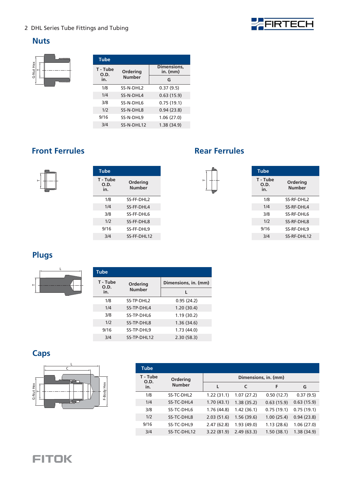### **Nuts**



| <b>Tube</b>      |                       |                         |
|------------------|-----------------------|-------------------------|
| T - Tube<br>O.D. | Ordering              | Dimensions,<br>in. (mm) |
| in.              | <b>Number</b>         | G                       |
| 1/8              | SS-N-DHI <sub>2</sub> | 0.37(9.5)               |
| 1/4              | SS-N-DHI4             | 0.63(15.9)              |
| 3/8              | SS-N-DHI 6            | 0.75(19.1)              |
| 1/2              | SS-N-DHL8             | 0.94(23.8)              |
| 9/16             | SS-N-DHL9             | 1.06(27.0)              |
| 3/4              | SS-N-DHL12            | 1.38 (34.9)             |

## **Front Ferrules**



| <b>Tube</b>            |                        |
|------------------------|------------------------|
| T - Tube<br>O.D.<br>in | Ordering<br>Number     |
| 1/8                    | SS-FF-DHI <sub>2</sub> |
| 1/4                    | SS-FF-DHL4             |
| 3/8                    | SS-FF-DHI 6            |
| 1/2                    | SS-FF-DHL8             |
| 9/16                   | SS-FF-DHL9             |
| 3/4                    | SS-FF-DHL12            |

## **Rear Ferrules**

 $\mathord{\vdash}$ 

| <b>Tube</b>             |                           |
|-------------------------|---------------------------|
| T - Tube<br>O.D.<br>in. | Ordering<br><b>Number</b> |
| 1/8                     | SS-RF-DHI <sub>2</sub>    |
| 1/4                     | SS-RF-DHI4                |
| 3/8                     | SS-RF-DHI 6               |
| 1/2                     | SS-RF-DHI 8               |
| 9/16                    | SS-RF-DHL9                |
| 3/4                     | SS-RF-DHI 12              |
|                         |                           |

FIRTECH

## **Plugs**



| <b>Tube</b>                  |                        |                      |
|------------------------------|------------------------|----------------------|
| T - Tube<br>Ordering<br>0.D. |                        | Dimensions, in. (mm) |
| in.                          | <b>Number</b>          | L                    |
| 1/8                          | SS-TP-DHI <sub>2</sub> | 0.95(24.2)           |
| 1/4                          | SS-TP-DHL4             | 1.20(30.4)           |
| 3/8                          | SS-TP-DHL6             | 1.19(30.2)           |
| 1/2                          | SS-TP-DHL8             | 1.36(34.6)           |
| 9/16                         | SS-TP-DHL9             | 1.73(44.0)           |
| 3/4                          | SS-TP-DHL12            | 2.30(58.3)           |

## **Caps**



| <b>Tube</b>      |               |             |            |                      |            |
|------------------|---------------|-------------|------------|----------------------|------------|
| T - Tube<br>O.D. | Ordering      |             |            | Dimensions, in. (mm) |            |
| in.              | <b>Number</b> |             | C          | F                    | G          |
| 1/8              | SS-TC-DHL2    | 1.22(31.1)  | 1.07(27.2) | 0.50(12.7)           | 0.37(9.5)  |
| 1/4              | SS-TC-DHL4    | 1.70(43.1)  | 1.38(35.2) | 0.63(15.9)           | 0.63(15.9) |
| 3/8              | SS-TC-DHL6    | 1.76 (44.8) | 1.42(36.1) | 0.75(19.1)           | 0.75(19.1) |
| 1/2              | SS-TC-DHL8    | 2.03(51.6)  | 1.56(39.6) | 1.00(25.4)           | 0.94(23.8) |
| 9/16             | SS-TC-DHL9    | 2.47(62.8)  | 1.93(49.0) | 1.13(28.6)           | 1.06(27.0) |
| 3/4              | SS-TC-DHL12   | 3.22(81.9)  | 2.49(63.3) | 1.50(38.1)           | 1.38(34.9) |

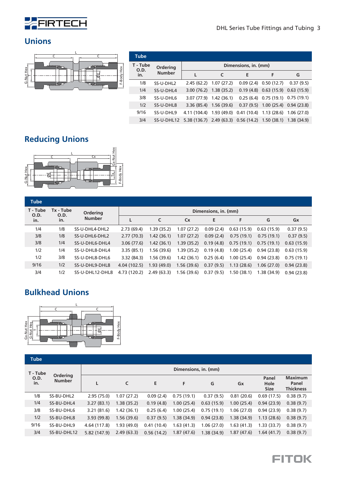

## **Unions**



| Tube             |               |                                                                         |                          |                      |                                       |           |
|------------------|---------------|-------------------------------------------------------------------------|--------------------------|----------------------|---------------------------------------|-----------|
| T - Tube<br>O.D. | Ordering      |                                                                         |                          | Dimensions, in. (mm) |                                       |           |
| in.              | <b>Number</b> | L                                                                       | C                        | E                    | F                                     | G         |
| 1/8              | SS-U-DHL2     | $2.45(62.2)$ 1.07 (27.2)                                                |                          |                      | $0.09(2.4)$ 0.50 (12.7)               | 0.37(9.5) |
| 1/4              | SS-U-DHL4     | $3.00(76.2)$ 1.38 (35.2)                                                |                          |                      | $0.19(4.8)$ $0.63(15.9)$ $0.63(15.9)$ |           |
| 3/8              | SS-U-DHL6     |                                                                         | 3.07 (77.9) 1.42 (36.1)  |                      | $0.25(6.4)$ $0.75(19.1)$ $0.75(19.1)$ |           |
| 1/2              | SS-U-DHI 8    |                                                                         | $3.36(85.4)$ 1.56 (39.6) |                      | $0.37(9.5)$ 1.00 (25.4) 0.94 (23.8)   |           |
| 9/16             | SS-U-DHI9     | 4.11 (104.4) 1.93 (49.0) 0.41 (10.4) 1.13 (28.6) 1.06 (27.0)            |                          |                      |                                       |           |
| 3/4              |               | SS-U-DHL12 5.38 (136.7) 2.49 (63.3) 0.56 (14.2) 1.50 (38.1) 1.38 (34.9) |                          |                      |                                       |           |

## **Reducing Unions**



| <b>Tube</b>                                       |     |                 |              |            |             |                      |            |            |            |
|---------------------------------------------------|-----|-----------------|--------------|------------|-------------|----------------------|------------|------------|------------|
| T - Tube<br>Tx - Tube<br>Ordering<br>O.D.<br>0.D. |     |                 |              |            |             | Dimensions, in. (mm) |            |            |            |
| in.                                               | in. | <b>Number</b>   |              |            | <b>Cx</b>   | Е                    | F          | G          | Gx         |
| 1/4                                               | 1/8 | SS-U-DHL4-DHL2  | 2.73(69.4)   | 1.39(35.2) | 1.07(27.2)  | 0.09(2.4)            | 0.63(15.9) | 0.63(15.9) | 0.37(9.5)  |
| 3/8                                               | 1/8 | SS-U-DHL6-DHL2  | 2.77(70.3)   | 1.42(36.1) | 1.07(27.2)  | 0.09(2.4)            | 0.75(19.1) | 0.75(19.1) | 0.37(9.5)  |
| 3/8                                               | 1/4 | SS-U-DHL6-DHL4  | 3.06(77.6)   | 1.42(36.1) | 1.39(35.2)  | 0.19(4.8)            | 0.75(19.1) | 0.75(19.1) | 0.63(15.9) |
| 1/2                                               | 1/4 | SS-U-DHL8-DHL4  | 3.35(85.1)   | 1.56(39.6) | 1.39(35.2)  | 0.19(4.8)            | 1.00(25.4) | 0.94(23.8) | 0.63(15.9) |
| 1/2                                               | 3/8 | SS-U-DHL8-DHL6  | 3.32(84.3)   | 1.56(39.6) | 1.42(36.1)  | 0.25(6.4)            | 1.00(25.4) | 0.94(23.8) | 0.75(19.1) |
| 9/16                                              | 1/2 | SS-U-DHL9-DHL8  | 4.04(102.5)  | 1.93(49.0) | 1.56(39.6)  | 0.37(9.5)            | 1.13(28.6) | 1.06(27.0) | 0.94(23.8) |
| 3/4                                               | 1/2 | SS-U-DHL12-DHL8 | 4.73 (120.2) | 2.49(63.3) | 1.56 (39.6) | 0.37(9.5)            | 1.50(38.1) | 1.38(34.9) | 0.94(23.8) |

## **Bulkhead Unions**



| <b>Tube</b> |                                  |                      |            |            |            |            |            |                              |                                             |  |
|-------------|----------------------------------|----------------------|------------|------------|------------|------------|------------|------------------------------|---------------------------------------------|--|
| T - Tube    |                                  | Dimensions, in. (mm) |            |            |            |            |            |                              |                                             |  |
| 0.D.<br>in. | <b>Ordering</b><br><b>Number</b> | L                    | C          | E.         | F          | G          | Gx         | Panel<br>Hole<br><b>Size</b> | <b>Maximum</b><br>Panel<br><b>Thickness</b> |  |
| 1/8         | SS-BU-DHL2                       | 2.95(75.0)           | 1.07(27.2) | 0.09(2.4)  | 0.75(19.1) | 0.37(9.5)  | 0.81(20.6) | 0.69(17.5)                   | 0.38(9.7)                                   |  |
| 1/4         | SS-BU-DHL4                       | 3.27(83.1)           | 1.38(35.2) | 0.19(4.8)  | 1.00(25.4) | 0.63(15.9) | 1.00(25.4) | 0.94(23.9)                   | 0.38(9.7)                                   |  |
| 3/8         | SS-BU-DHL6                       | 3.21(81.6)           | 1.42(36.1) | 0.25(6.4)  | 1.00(25.4) | 0.75(19.1) | 1.06(27.0) | 0.94(23.9)                   | 0.38(9.7)                                   |  |
| 1/2         | SS-BU-DHL8                       | 3.93(99.8)           | 1.56(39.6) | 0.37(9.5)  | 1.38(34.9) | 0.94(23.8) | 1.38(34.9) | 1.13(28.6)                   | 0.38(9.7)                                   |  |
| 9/16        | SS-BU-DHL9                       | 4.64 (117.8)         | 1.93(49.0) | 0.41(10.4) | 1.63(41.3) | 1.06(27.0) | 1.63(41.3) | 1.33(33.7)                   | 0.38(9.7)                                   |  |
| 3/4         | SS-BU-DHL12                      | 5.82 (147.9)         | 2.49(63.3) | 0.56(14.2) | 1.87(47.6) | 1.38(34.9) | 1.87(47.6) | 1.64(41.7)                   | 0.38(9.7)                                   |  |

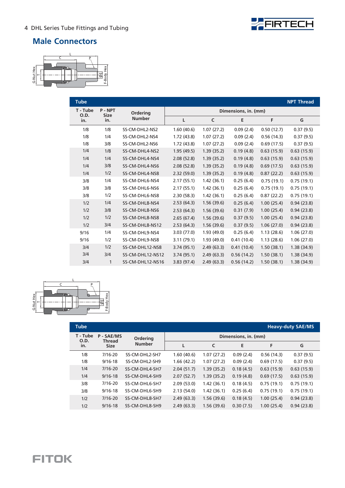

## **Male Connectors**



| <b>Tube</b>      |                      |                  |            |            |                      |            | <b>NPT Thread</b> |
|------------------|----------------------|------------------|------------|------------|----------------------|------------|-------------------|
| T - Tube<br>O.D. | P-NPT<br><b>Size</b> | Ordering         |            |            | Dimensions, in. (mm) |            |                   |
| in.              | in.                  | <b>Number</b>    | L          | C          | Е                    | F          | G                 |
| 1/8              | 1/8                  | SS-CM-DHL2-NS2   | 1.60(40.6) | 1.07(27.2) | 0.09(2.4)            | 0.50(12.7) | 0.37(9.5)         |
| 1/8              | 1/4                  | SS-CM-DHL2-NS4   | 1.72(43.8) | 1.07(27.2) | 0.09(2.4)            | 0.56(14.3) | 0.37(9.5)         |
| 1/8              | 3/8                  | SS-CM-DHL2-NS6   | 1.72(43.8) | 1.07(27.2) | 0.09(2.4)            | 0.69(17.5) | 0.37(9.5)         |
| 1/4              | 1/8                  | SS-CM-DHL4-NS2   | 1.95(49.5) | 1.39(35.2) | 0.19(4.8)            | 0.63(15.9) | 0.63(15.9)        |
| 1/4              | 1/4                  | SS-CM-DHL4-NS4   | 2.08(52.8) | 1.39(35.2) | 0.19(4.8)            | 0.63(15.9) | 0.63(15.9)        |
| 1/4              | 3/8                  | SS-CM-DHL4-NS6   | 2.08(52.8) | 1.39(35.2) | 0.19(4.8)            | 0.69(17.5) | 0.63(15.9)        |
| 1/4              | 1/2                  | SS-CM-DHL4-NS8   | 2.32(59.0) | 1.39(35.2) | 0.19(4.8)            | 0.87(22.2) | 0.63(15.9)        |
| 3/8              | 1/4                  | SS-CM-DHL6-NS4   | 2.17(55.1) | 1.42(36.1) | 0.25(6.4)            | 0.75(19.1) | 0.75(19.1)        |
| 3/8              | 3/8                  | SS-CM-DHL6-NS6   | 2.17(55.1) | 1.42(36.1) | 0.25(6.4)            | 0.75(19.1) | 0.75(19.1)        |
| 3/8              | 1/2                  | SS-CM-DHL6-NS8   | 2.30(58.3) | 1.42(36.1) | 0.25(6.4)            | 0.87(22.2) | 0.75(19.1)        |
| 1/2              | 1/4                  | SS-CM-DHL8-NS4   | 2.53(64.3) | 1.56(39.6) | 0.25(6.4)            | 1.00(25.4) | 0.94(23.8)        |
| 1/2              | 3/8                  | SS-CM-DHL8-NS6   | 2.53(64.3) | 1.56(39.6) | 0.31(7.9)            | 1.00(25.4) | 0.94(23.8)        |
| 1/2              | 1/2                  | SS-CM-DHL8-NS8   | 2.65(67.4) | 1.56(39.6) | 0.37(9.5)            | 1.00(25.4) | 0.94(23.8)        |
| 1/2              | 3/4                  | SS-CM-DHL8-NS12  | 2.53(64.3) | 1.56(39.6) | 0.37(9.5)            | 1.06(27.0) | 0.94(23.8)        |
| 9/16             | 1/4                  | SS-CM-DHL9-NS4   | 3.03(77.0) | 1.93(49.0) | 0.25(6.4)            | 1.13(28.6) | 1.06(27.0)        |
| 9/16             | 1/2                  | SS-CM-DHL9-NS8   | 3.11(79.1) | 1.93(49.0) | 0.41(10.4)           | 1.13(28.6) | 1.06(27.0)        |
| 3/4              | 1/2                  | SS-CM-DHL12-NS8  | 3.74(95.1) | 2.49(63.3) | 0.41(10.4)           | 1.50(38.1) | 1.38(34.9)        |
| 3/4              | 3/4                  | SS-CM-DHL12-NS12 | 3.74(95.1) | 2.49(63.3) | 0.56(14.2)           | 1.50(38.1) | 1.38(34.9)        |
| 3/4              | 1                    | SS-CM-DHL12-NS16 | 3.83(97.4) | 2.49(63.3) | 0.56(14.2)           | 1.50(38.1) | 1.38(34.9)        |



| <b>Tube</b>                                   |             |                |            |            |                      |            | <b>Heavy-duty SAE/MS</b> |
|-----------------------------------------------|-------------|----------------|------------|------------|----------------------|------------|--------------------------|
| T - Tube<br><b>P-SAE/MS</b><br>O.D.<br>Thread |             | Ordering       |            |            | Dimensions, in. (mm) |            |                          |
| in.                                           | <b>Size</b> | <b>Number</b>  | L          | C          | E                    | F          | G                        |
| 1/8                                           | 7/16-20     | SS-CM-DHL2-SH7 | 1.60(40.6) | 1.07(27.2) | 0.09(2.4)            | 0.56(14.3) | 0.37(9.5)                |
| 1/8                                           | $9/16 - 18$ | SS-CM-DHL2-SH9 | 1.66(42.2) | 1.07(27.2) | 0.09(2.4)            | 0.69(17.5) | 0.37(9.5)                |
| 1/4                                           | $7/16 - 20$ | SS-CM-DHL4-SH7 | 2.04(51.7) | 1.39(35.2) | 0.18(4.5)            | 0.63(15.9) | 0.63(15.9)               |
| 1/4                                           | $9/16 - 18$ | SS-CM-DHL4-SH9 | 2.07(52.7) | 1.39(35.2) | 0.19(4.8)            | 0.69(17.5) | 0.63(15.9)               |
| 3/8                                           | $7/16 - 20$ | SS-CM-DHL6-SH7 | 2.09(53.0) | 1.42(36.1) | 0.18(4.5)            | 0.75(19.1) | 0.75(19.1)               |
| 3/8                                           | $9/16 - 18$ | SS-CM-DHL6-SH9 | 2.13(54.0) | 1.42(36.1) | 0.25(6.4)            | 0.75(19.1) | 0.75(19.1)               |
| 1/2                                           | $7/16 - 20$ | SS-CM-DHL8-SH7 | 2.49(63.3) | 1.56(39.6) | 0.18(4.5)            | 1.00(25.4) | 0.94(23.8)               |
| 1/2                                           | $9/16 - 18$ | SS-CM-DHL8-SH9 | 2.49(63.3) | 1.56(39.6) | 0.30(7.5)            | 1.00(25.4) | 0.94(23.8)               |

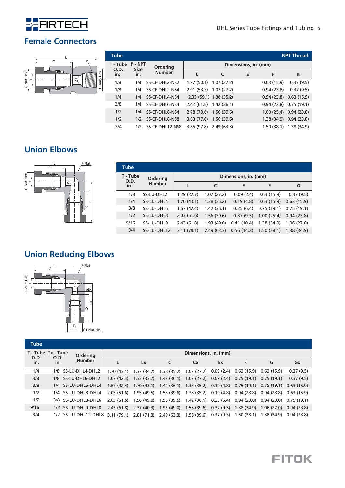

## **Female Connectors**



| <b>Tube</b>                              |     |                 |                           |                         |   |            | <b>NPT Thread</b>         |  |  |
|------------------------------------------|-----|-----------------|---------------------------|-------------------------|---|------------|---------------------------|--|--|
| T - Tube<br>P-NPT<br>O.D.<br><b>Size</b> |     | Ordering        | Dimensions, in. (mm)      |                         |   |            |                           |  |  |
| in.                                      | in. | <b>Number</b>   |                           | C                       | E | F          | G                         |  |  |
| 1/8                                      | 1/8 | SS-CF-DHL2-NS2  | 1.97(50.1)                | 1.07(27.2)              |   | 0.63(15.9) | 0.37(9.5)                 |  |  |
| 1/8                                      | 1/4 | SS-CF-DHL2-NS4  | $2.01(53.3)$ $1.07(27.2)$ |                         |   | 0.94(23.8) | 0.37(9.5)                 |  |  |
| 1/4                                      | 1/4 | SS-CF-DHI 4-NS4 |                           | 2.33 (59.1) 1.38 (35.2) |   |            | $0.94(23.8)$ $0.63(15.9)$ |  |  |
| 3/8                                      | 1/4 | SS-CF-DHL6-NS4  | $2.42(61.5)$ 1.42 (36.1)  |                         |   |            | $0.94(23.8)$ $0.75(19.1)$ |  |  |
| 1/2                                      | 1/4 | SS-CF-DHL8-NS4  | 2.78 (70.6) 1.56 (39.6)   |                         |   |            | $1.00(25.4)$ 0.94 (23.8)  |  |  |
| 1/2                                      | 1/2 | SS-CF-DHL8-NS8  | 3.03(77.0)                | 1.56(39.6)              |   |            | 1.38 (34.9) 0.94 (23.8)   |  |  |
| 3/4                                      | 1/2 | SS-CF-DHL12-NS8 | 3.85(97.8)                | 2.49(63.3)              |   | 1.50(38.1) | 1.38(34.9)                |  |  |

## **Union Elbows**



| Tube             |               |                      |            |            |            |            |  |  |  |
|------------------|---------------|----------------------|------------|------------|------------|------------|--|--|--|
| T - Tube<br>O.D. | Ordering      | Dimensions, in. (mm) |            |            |            |            |  |  |  |
| in.              | <b>Number</b> |                      | C          | E          | F          | G          |  |  |  |
| 1/8              | SS-LU-DHL2    | 1.29(32.7)           | 1.07(27.2) | 0.09(2.4)  | 0.63(15.9) | 0.37(9.5)  |  |  |  |
| 1/4              | SS-LU-DHL4    | 1.70(43.1)           | 1.38(35.2) | 0.19(4.8)  | 0.63(15.9) | 0.63(15.9) |  |  |  |
| 3/8              | SS-LU-DHL6    | 1.67(42.4)           | 1.42(36.1) | 0.25(6.4)  | 0.75(19.1) | 0.75(19.1) |  |  |  |
| 1/2              | SS-LU-DHL8    | 2.03(51.6)           | 1.56(39.6) | 0.37(9.5)  | 1.00(25.4) | 0.94(23.8) |  |  |  |
| 9/16             | SS-I U-DHI 9  | 2.43(61.8)           | 1.93(49.0) | 0.41(10.4) | 1.38(34.9) | 1.06(27.0) |  |  |  |
| 3/4              | SS-LU-DHL12   | 3.11(79.1)           | 2.49(63.3) | 0.56(14.2) | 1.50(38.1) | 1.38(34.9) |  |  |  |

## **Union Reducing Elbows**



| Tube                                             |  |                                                                                 |            |                           |                                                                                    |           |    |                                                                        |                          |                          |  |
|--------------------------------------------------|--|---------------------------------------------------------------------------------|------------|---------------------------|------------------------------------------------------------------------------------|-----------|----|------------------------------------------------------------------------|--------------------------|--------------------------|--|
| T - Tube Tx - Tube<br>O.D.<br>O.D.<br>in.<br>In. |  | Ordering                                                                        |            | Dimensions, in. (mm)      |                                                                                    |           |    |                                                                        |                          |                          |  |
|                                                  |  | <b>Number</b>                                                                   |            | Lx                        |                                                                                    | <b>Cx</b> | Ex | F                                                                      | G                        | Gx                       |  |
| 1/4                                              |  | 1/8 SS-LU-DHL4-DHL2                                                             |            | $1.70(43.1)$ $1.37(34.7)$ |                                                                                    |           |    | $1.38(35.2)$ $1.07(27.2)$ $0.09(2.4)$ $0.63(15.9)$ $0.63(15.9)$        |                          | 0.37(9.5)                |  |
| 3/8                                              |  | 1/8 SS-LU-DHL6-DHL2                                                             | 1.67(42.4) | 1.33(33.7)                |                                                                                    |           |    | $1.42(36.1)$ $1.07(27.2)$ $0.09(2.4)$ $0.75(19.1)$ $0.75(19.1)$        |                          | 0.37(9.5)                |  |
| 3/8                                              |  | 1/4 SS-LU-DHL6-DHL4                                                             | 1.67(42.4) | 1.70 (43.1)               | $1.42$ (36.1) $1.38$ (35.2) $0.19$ (4.8) $0.75$ (19.1) $0.75$ (19.1) $0.63$ (15.9) |           |    |                                                                        |                          |                          |  |
| 1/2                                              |  | 1/4 SS-LU-DHL8-DHL4                                                             | 2.03(51.6) | 1.95 (49.5)               | 1.56 (39.6) 1.38 (35.2) 0.19 (4.8) 0.94 (23.8) 0.94 (23.8) 0.63 (15.9)             |           |    |                                                                        |                          |                          |  |
| 1/2                                              |  | 3/8 SS-LU-DHL8-DHL6                                                             |            | $2.03(51.6)$ 1.96 (49.8)  |                                                                                    |           |    | 1.56 (39.6) 1.42 (36.1) 0.25 (6.4) 0.94 (23.8) 0.94 (23.8) 0.75 (19.1) |                          |                          |  |
| 9/16                                             |  | 1/2 SS-LU-DHL9-DHL8                                                             |            | $2.43(61.8)$ $2.37(40.3)$ | 1.93 (49.0) 1.56 (39.6) 0.37 (9.5) 1.38 (34.9)                                     |           |    |                                                                        | $1.06(27.0)$ 0.94 (23.8) |                          |  |
| 3/4                                              |  | 1/2 SS-LU-DHL12-DHL8 3.11 (79.1) 2.81 (71.3) 2.49 (63.3) 1.56 (39.6) 0.37 (9.5) |            |                           |                                                                                    |           |    | 1.50 (38.1)                                                            |                          | $1.38(34.9)$ 0.94 (23.8) |  |

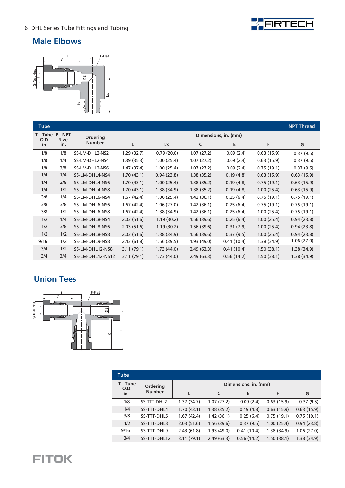

## **Male Elbows**



| <b>Tube</b> |                                                        |                  |            |             |            |            |            | <b>NPT Thread</b> |
|-------------|--------------------------------------------------------|------------------|------------|-------------|------------|------------|------------|-------------------|
|             | T-Tube P-NPT<br><b>Ordering</b><br>O.D.<br><b>Size</b> |                  |            |             |            |            |            |                   |
| in.         | in.                                                    | <b>Number</b>    | L          | Lx          | C          | Ε          | F          | G                 |
| 1/8         | 1/8                                                    | SS-LM-DHL2-NS2   | 1.29(32.7) | 0.79(20.0)  | 1.07(27.2) | 0.09(2.4)  | 0.63(15.9) | 0.37(9.5)         |
| 1/8         | 1/4                                                    | SS-LM-DHL2-NS4   | 1.39(35.3) | 1.00(25.4)  | 1.07(27.2) | 0.09(2.4)  | 0.63(15.9) | 0.37(9.5)         |
| 1/8         | 3/8                                                    | SS-LM-DHL2-NS6   | 1.47(37.4) | 1.00(25.4)  | 1.07(27.2) | 0.09(2.4)  | 0.75(19.1) | 0.37(9.5)         |
| 1/4         | 1/4                                                    | SS-LM-DHL4-NS4   | 1.70(43.1) | 0.94(23.8)  | 1.38(35.2) | 0.19(4.8)  | 0.63(15.9) | 0.63(15.9)        |
| 1/4         | 3/8                                                    | SS-LM-DHL4-NS6   | 1.70(43.1) | 1.00(25.4)  | 1.38(35.2) | 0.19(4.8)  | 0.75(19.1) | 0.63(15.9)        |
| 1/4         | 1/2                                                    | SS-LM-DHL4-NS8   | 1.70(43.1) | 1.38(34.9)  | 1.38(35.2) | 0.19(4.8)  | 1.00(25.4) | 0.63(15.9)        |
| 3/8         | 1/4                                                    | SS-LM-DHL6-NS4   | 1.67(42.4) | 1.00(25.4)  | 1.42(36.1) | 0.25(6.4)  | 0.75(19.1) | 0.75(19.1)        |
| 3/8         | 3/8                                                    | SS-LM-DHL6-NS6   | 1.67(42.4) | 1.06(27.0)  | 1.42(36.1) | 0.25(6.4)  | 0.75(19.1) | 0.75(19.1)        |
| 3/8         | 1/2                                                    | SS-LM-DHL6-NS8   | 1.67(42.4) | 1.38(34.9)  | 1.42(36.1) | 0.25(6.4)  | 1.00(25.4) | 0.75(19.1)        |
| 1/2         | 1/4                                                    | SS-LM-DHL8-NS4   | 2.03(51.6) | 1.19(30.2)  | 1.56(39.6) | 0.25(6.4)  | 1.00(25.4) | 0.94(23.8)        |
| 1/2         | 3/8                                                    | SS-LM-DHL8-NS6   | 2.03(51.6) | 1.19(30.2)  | 1.56(39.6) | 0.31(7.9)  | 1.00(25.4) | 0.94(23.8)        |
| 1/2         | 1/2                                                    | SS-LM-DHL8-NS8   | 2.03(51.6) | 1.38(34.9)  | 1.56(39.6) | 0.37(9.5)  | 1.00(25.4) | 0.94(23.8)        |
| 9/16        | 1/2                                                    | SS-LM-DHL9-NS8   | 2.43(61.8) | 1.56 (39.5) | 1.93(49.0) | 0.41(10.4) | 1.38(34.9) | 1.06(27.0)        |
| 3/4         | 1/2                                                    | SS-LM-DHL12-NS8  | 3.11(79.1) | 1.73(44.0)  | 2.49(63.3) | 0.41(10.4) | 1.50(38.1) | 1.38(34.9)        |
| 3/4         | 3/4                                                    | SS-LM-DHL12-NS12 | 3.11(79.1) | 1.73(44.0)  | 2.49(63.3) | 0.56(14.2) | 1.50(38.1) | 1.38(34.9)        |

## **Union Tees**



| <b>Tube</b>      |               |                      |            |            |             |            |  |  |  |
|------------------|---------------|----------------------|------------|------------|-------------|------------|--|--|--|
| T - Tube<br>O.D. | Ordering      | Dimensions, in. (mm) |            |            |             |            |  |  |  |
| in.              | <b>Number</b> |                      | C          | E          | F           | G          |  |  |  |
| 1/8              | SS-TTT-DHL2   | 1.37(34.7)           | 1.07(27.2) | 0.09(2.4)  | 0.63(15.9)  | 0.37(9.5)  |  |  |  |
| 1/4              | SS-TTT-DHL4   | 1.70(43.1)           | 1.38(35.2) | 0.19(4.8)  | 0.63(15.9)  | 0.63(15.9) |  |  |  |
| 3/8              | SS-TTT-DHL6   | 1.67(42.4)           | 1.42(36.1) | 0.25(6.4)  | 0.75(19.1)  | 0.75(19.1) |  |  |  |
| 1/2              | SS-TTT-DHL8   | 2.03(51.6)           | 1.56(39.6) | 0.37(9.5)  | 1.00(25.4)  | 0.94(23.8) |  |  |  |
| 9/16             | SS-TTT-DHL9   | 2.43(61.8)           | 1.93(49.0) | 0.41(10.4) | 1.38 (34.9) | 1.06(27.0) |  |  |  |
| 3/4              | SS-TTT-DHL12  | 3.11(79.1)           | 2.49(63.3) | 0.56(14.2) | 1.50(38.1)  | 1.38(34.9) |  |  |  |

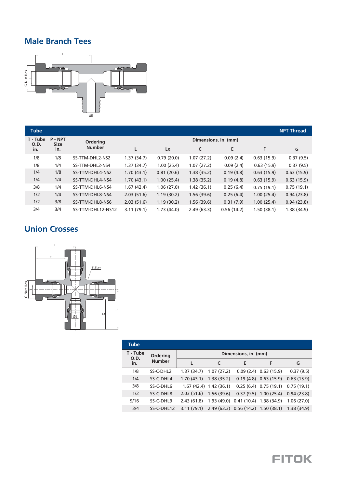

## **Male Branch Tees**



| <b>Tube</b>      |                             |                   |            |                      |            |            |            | <b>NPT Thread</b> |  |
|------------------|-----------------------------|-------------------|------------|----------------------|------------|------------|------------|-------------------|--|
| T - Tube<br>O.D. | <b>P-NPT</b><br><b>Size</b> | Ordering          |            | Dimensions, in. (mm) |            |            |            |                   |  |
| in.<br>in.       |                             | <b>Number</b>     |            | <b>Lx</b>            | C          | E          | F          | G                 |  |
| 1/8              | 1/8                         | SS-TTM-DHL2-NS2   | 1.37(34.7) | 0.79(20.0)           | 1.07(27.2) | 0.09(2.4)  | 0.63(15.9) | 0.37(9.5)         |  |
| 1/8              | 1/4                         | SS-TTM-DHL2-NS4   | 1.37(34.7) | 1.00(25.4)           | 1.07(27.2) | 0.09(2.4)  | 0.63(15.9) | 0.37(9.5)         |  |
| 1/4              | 1/8                         | SS-TTM-DHL4-NS2   | 1.70(43.1) | 0.81(20.6)           | 1.38(35.2) | 0.19(4.8)  | 0.63(15.9) | 0.63(15.9)        |  |
| 1/4              | 1/4                         | SS-TTM-DHL4-NS4   | 1.70(43.1) | 1.00(25.4)           | 1.38(35.2) | 0.19(4.8)  | 0.63(15.9) | 0.63(15.9)        |  |
| 3/8              | 1/4                         | SS-TTM-DHL6-NS4   | 1.67(42.4) | 1.06(27.0)           | 1.42(36.1) | 0.25(6.4)  | 0.75(19.1) | 0.75(19.1)        |  |
| 1/2              | 1/4                         | SS-TTM-DHL8-NS4   | 2.03(51.6) | 1.19(30.2)           | 1.56(39.6) | 0.25(6.4)  | 1.00(25.4) | 0.94(23.8)        |  |
| 1/2              | 3/8                         | SS-TTM-DHL8-NS6   | 2.03(51.6) | 1.19(30.2)           | 1.56(39.6) | 0.31(7.9)  | 1.00(25.4) | 0.94(23.8)        |  |
| 3/4              | 3/4                         | SS-TTM-DHL12-NS12 | 3.11(79.1) | 1.73(44.0)           | 2.49(63.3) | 0.56(14.2) | 1.50(38.1) | 1.38 (34.9)       |  |

## **Union Crosses**



| <b>Tube</b>      |                       |                           |            |                      |                                                                 |            |
|------------------|-----------------------|---------------------------|------------|----------------------|-----------------------------------------------------------------|------------|
| T - Tube<br>O.D. | Ordering              |                           |            | Dimensions, in. (mm) |                                                                 |            |
| in.              | <b>Number</b>         |                           | C          | E                    | F                                                               | G          |
| 1/8              | SS-C-DHL <sub>2</sub> | 1.37 (34.7)               | 1.07(27.2) |                      | $0.09(2.4)$ 0.63 (15.9)                                         | 0.37(9.5)  |
| 1/4              | SS-C-DHL4             | $1.70(43.1)$ $1.38(35.2)$ |            |                      | $0.19(4.8)$ $0.63(15.9)$                                        | 0.63(15.9) |
| 3/8              | SS-C-DHL6             |                           |            |                      | $1.67(42.4)$ $1.42(36.1)$ $0.25(6.4)$ $0.75(19.1)$ $0.75(19.1)$ |            |
| 1/2              | SS-C-DHL8             | $2.03(51.6)$ 1.56 (39.6)  |            |                      | $0.37(9.5)$ 1.00 (25.4)                                         | 0.94(23.8) |
| 9/16             | SS-C-DHL9             | 2.43 (61.8)               |            |                      | 1.93 (49.0) 0.41 (10.4) 1.38 (34.9)                             | 1.06(27.0) |
| 3/4              | SS-C-DHL12            |                           |            |                      | 3.11 (79.1) 2.49 (63.3) 0.56 (14.2) 1.50 (38.1) 1.38 (34.9)     |            |

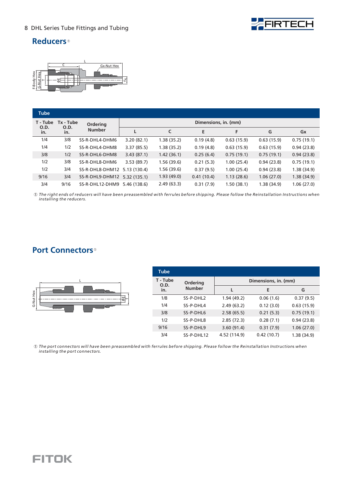

## **Reducers**<sup>®</sup>



| <b>Tube</b> |             |                 |                      |            |            |            |             |            |  |
|-------------|-------------|-----------------|----------------------|------------|------------|------------|-------------|------------|--|
| T - Tube    | Tx - Tube   | <b>Ordering</b> | Dimensions, in. (mm) |            |            |            |             |            |  |
| O.D.<br>in. | O.D.<br>in. | <b>Number</b>   |                      | C          | Е          | F          | G           | Gx         |  |
| 1/4         | 3/8         | SS-R-DHL4-DHM6  | 3.20(82.1)           | 1.38(35.2) | 0.19(4.8)  | 0.63(15.9) | 0.63(15.9)  | 0.75(19.1) |  |
| 1/4         | 1/2         | SS-R-DHL4-DHM8  | 3.37(85.5)           | 1.38(35.2) | 0.19(4.8)  | 0.63(15.9) | 0.63(15.9)  | 0.94(23.8) |  |
| 3/8         | 1/2         | SS-R-DHL6-DHM8  | 3.43(87.1)           | 1.42(36.1) | 0.25(6.4)  | 0.75(19.1) | 0.75(19.1)  | 0.94(23.8) |  |
| 1/2         | 3/8         | SS-R-DHL8-DHM6  | 3.53(89.7)           | 1.56(39.6) | 0.21(5.3)  | 1.00(25.4) | 0.94(23.8)  | 0.75(19.1) |  |
| 1/2         | 3/4         | SS-R-DHL8-DHM12 | 5.13 (130.4)         | 1.56(39.6) | 0.37(9.5)  | 1.00(25.4) | 0.94(23.8)  | 1.38(34.9) |  |
| 9/16        | 3/4         | SS-R-DHL9-DHM12 | 5.32(135.1)          | 1.93(49.0) | 0.41(10.4) | 1.13(28.6) | 1.06(27.0)  | 1.38(34.9) |  |
| 3/4         | 9/16        | SS-R-DHL12-DHM9 | 5.46(138.6)          | 2.49(63.3) | 0.31(7.9)  | 1.50(38.1) | 1.38 (34.9) | 1.06(27.0) |  |

The right ends of reducers will have been preassembled with ferrules before shipping. Please follow the Reinstallation Instructions when *installing the reducers.*  $\mathop{\oplus}$  The right ends of reducers will have been preassembled with ferrules before shipping.

### **Port Connectors**<sup>®</sup>



| <b>Tube</b>      |               |              |                      |             |  |  |  |  |  |
|------------------|---------------|--------------|----------------------|-------------|--|--|--|--|--|
| T - Tube<br>O.D. | Ordering      |              | Dimensions, in. (mm) |             |  |  |  |  |  |
| in.              | <b>Number</b> |              | E                    | G           |  |  |  |  |  |
| 1/8              | SS-P-DHL2     | 1.94(49.2)   | 0.06(1.6)            | 0.37(9.5)   |  |  |  |  |  |
| 1/4              | SS-P-DHL4     | 2.49(63.2)   | 0.12(3.0)            | 0.63(15.9)  |  |  |  |  |  |
| 3/8              | SS-P-DHL6     | 2.58(65.5)   | 0.21(5.3)            | 0.75(19.1)  |  |  |  |  |  |
| 1/2              | SS-P-DHL8     | 2.85(72.3)   | 0.28(7.1)            | 0.94(23.8)  |  |  |  |  |  |
| 9/16             | SS-P-DHL9     | 3.60(91.4)   | 0.31(7.9)            | 1.06(27.0)  |  |  |  |  |  |
| 3/4              | SS-P-DHL12    | 4.52 (114.9) | 0.42(10.7)           | 1.38 (34.9) |  |  |  |  |  |

 $\mathbb O$  The port connectors will have been preassembled with ferrules before shipping. Please follow the Reinstallation Instructions when *installing the port connectors.*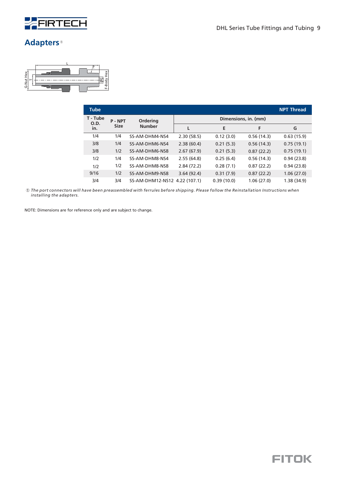

## **Adapters**<sup>®</sup>



| <b>Tube</b>      |              |                               |            |            |                      | <b>NPT Thread</b> |
|------------------|--------------|-------------------------------|------------|------------|----------------------|-------------------|
| T - Tube<br>O.D. | <b>P-NPT</b> | <b>Ordering</b>               |            |            | Dimensions, in. (mm) |                   |
| in.              | <b>Size</b>  | <b>Number</b>                 | L          | E          | F                    | G                 |
| 1/4              | 1/4          | SS-AM-DHM4-NS4                | 2.30(58.5) | 0.12(3.0)  | 0.56(14.3)           | 0.63(15.9)        |
| 3/8              | 1/4          | SS-AM-DHM6-NS4                | 2.38(60.4) | 0.21(5.3)  | 0.56(14.3)           | 0.75(19.1)        |
| 3/8              | 1/2          | SS-AM-DHM6-NS8                | 2.67(67.9) | 0.21(5.3)  | 0.87(22.2)           | 0.75(19.1)        |
| 1/2              | 1/4          | SS-AM-DHM8-NS4                | 2.55(64.8) | 0.25(6.4)  | 0.56(14.3)           | 0.94(23.8)        |
| 1/2              | 1/2          | SS-AM-DHM8-NS8                | 2.84(72.2) | 0.28(7.1)  | 0.87(22.2)           | 0.94(23.8)        |
| 9/16             | 1/2          | SS-AM-DHM9-NS8                | 3.64(92.4) | 0.31(7.9)  | 0.87(22.2)           | 1.06(27.0)        |
| 3/4              | 3/4          | SS-AM-DHM12-NS12 4.22 (107.1) |            | 0.39(10.0) | 1.06(27.0)           | 1.38 (34.9)       |

The port connectors will have been preassembled with ferrules before shipping. Please follow the Reinstallation Instructions when *installing the adapters.* ①

NOTE: Dimensions are for reference only and are subject to change.

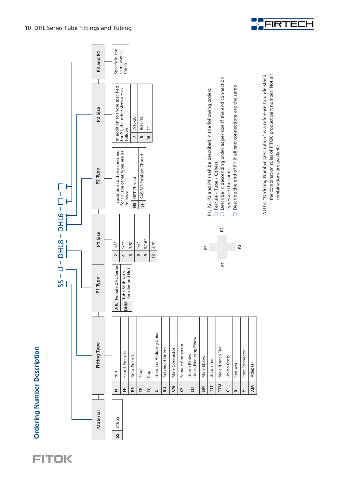





combinations are available.

combinations are available.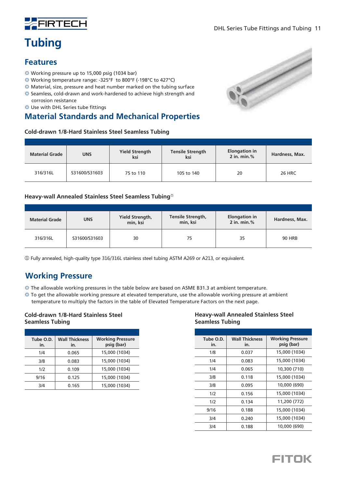

## **Tubing**

- Working pressure up to 15,000 psig (1034 bar) ◎
- Working temperature range: ◎ -325°F to 800°F (-198°C to 427°C)
- Material, size, pressure and heat number marked on the tubing surface ◎ ◎ Seamless, cold-drawn and work-hardened to achieve high strength and corrosion resistance
- ◎ Use with DHL Series tube fittings

### **Material Standards and Mechanical Properties**

**Cold-drawn 1/8-Hard Stainless Steel Seamless Tubing**



| <b>Material Grade</b> | <b>UNS</b>    | <b>Yield Strength</b><br>ksi | <b>Tensile Strength</b><br>ksi | <b>Elongation in</b><br>2 in. min.% | Hardness, Max. |
|-----------------------|---------------|------------------------------|--------------------------------|-------------------------------------|----------------|
| 316/316L              | S31600/S31603 | 75 to 110                    | 105 to 140                     | 20                                  | 26 HRC         |

### **Heavy-wall Annealed Stainless Steel Seamless Tubing** 1

| <b>Material Grade</b> | <b>UNS</b>    | Yield Strength,<br>min, ksi | Tensile Strength,<br>min, ksi | <b>Elongation in</b><br>$2$ in. min. % | Hardness, Max. |
|-----------------------|---------------|-----------------------------|-------------------------------|----------------------------------------|----------------|
| 316/316L              | S31600/S31603 | 30                          |                               | 35                                     | <b>90 HRB</b>  |

① Fully annealed, high-quality type 316/316L stainless steel tubing ASTM A269 or A213, or equivalent.

### **Working Pressure**

- ◎ The allowable working pressures in the table below are based on ASME B31.3 at ambient temperature.
- ◎ To get the allowable working pressure at elevated temperature, use the allowable working pressure at ambient temperature to multiply the factors in the table of Elevated Temperature Factors on the next page.

### **Cold-drawn 1/8-Hard Stainless Steel Seamless Tubing**

| Tube O.D.<br>in. | <b>Wall Thickness</b><br>in. | <b>Working Pressure</b><br>psig (bar) |
|------------------|------------------------------|---------------------------------------|
| 1/4              | 0.065                        | 15,000 (1034)                         |
| 3/8              | 0.083                        | 15,000 (1034)                         |
| 1/2              | 0.109                        | 15,000 (1034)                         |
| 9/16             | 0.125                        | 15,000 (1034)                         |
| 3/4              | 0.165                        | 15,000 (1034)                         |

#### **Heavy-wall Annealed Stainless Steel Seamless Tubing**

| Tube O.D.<br>in. | <b>Wall Thickness</b><br>in. | <b>Working Pressure</b><br>psig (bar) |
|------------------|------------------------------|---------------------------------------|
| 1/8              | 0.037                        | 15,000 (1034)                         |
| 1/4              | 0.083                        | 15,000 (1034)                         |
| 1/4              | 0.065                        | 10,300 (710)                          |
| 3/8              | 0.118                        | 15,000 (1034)                         |
| 3/8              | 0.095                        | 10,000 (690)                          |
| 1/2              | 0.156                        | 15,000 (1034)                         |
| 1/2              | 0.134                        | 11,200 (772)                          |
| 9/16             | 0.188                        | 15,000 (1034)                         |
| 3/4              | 0.240                        | 15,000 (1034)                         |
| 3/4              | 0.188                        | 10,000 (690)                          |

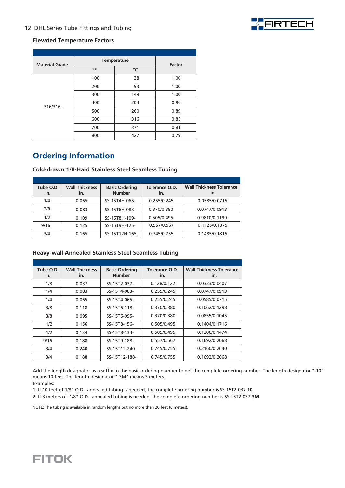

#### **Elevated Temperature Factors**

| <b>Material Grade</b> | <b>Temperature</b> | <b>Factor</b> |      |
|-----------------------|--------------------|---------------|------|
|                       | °F                 | °C            |      |
|                       | 100                | 38            | 1.00 |
|                       | 200                | 93            | 1.00 |
|                       | 300                | 149           | 1.00 |
| 316/316L              | 400                | 204           | 0.96 |
|                       | 500                | 260           | 0.89 |
|                       | 600                | 316           | 0.85 |
|                       | 700                | 371           | 0.81 |
|                       | 800                | 427           | 0.79 |

## **Ordering Information**

#### **Cold-drawn 1/8-Hard Stainless Steel Seamless Tubing**

| Tube O.D.<br>in. | <b>Wall Thickness</b><br>in. | <b>Basic Ordering</b><br><b>Number</b> | Tolerance O.D.<br>in. | <b>Wall Thickness Tolerance</b><br>In. |
|------------------|------------------------------|----------------------------------------|-----------------------|----------------------------------------|
| 1/4              | 0.065                        | SS-15T4H-065-                          | 0.255/0.245           | 0.0585/0.0715                          |
| 3/8              | 0.083                        | SS-15T6H-083-                          | 0.370/0.380           | 0.0747/0.0913                          |
| 1/2              | 0.109                        | SS-15T8H-109-                          | 0.505/0.495           | 0.9810/0.1199                          |
| 9/16             | 0.125                        | SS-15T9H-125-                          | 0.557/0.567           | 0.1125/0.1375                          |
| 3/4              | 0.165                        | SS-15T12H-165-                         | 0.745/0.755           | 0.1485/0.1815                          |

#### **Heavy-wall Annealed Stainless Steel Seamless Tubing**

| <b>Wall Thickness Tolerance</b><br><b>Wall Thickness</b><br>Tube O.D.<br><b>Basic Ordering</b><br>Tolerance O.D.<br><b>Number</b><br>in.<br>in.<br>in.<br>in.<br>0.0333/0.0407<br>0.128/0.122<br>1/8<br>SS-15T2-037-<br>0.037<br>0.255/0.245<br>0.0747/0.0913<br>SS-15T4-083-<br>1/4<br>0.083<br>0.255/0.245<br>0.0585/0.0715<br>1/4<br>0.065<br>SS-15T4-065-<br>3/8<br>0.118<br>SS-15T6-118-<br>0.370/0.380<br>0.1062/0.1298<br>0.370/0.380<br>0.0855/0.1045<br>SS-15T6-095-<br>3/8<br>0.095<br>0.505/0.495<br>0.1404/0.1716<br>1/2<br>SS-15T8-156-<br>0.156<br>0.505/0.495<br>0.1206/0.1474<br>1/2<br>0.134<br>SS-15T8-134-<br>0.557/0.567<br>0.1692/0.2068<br>9/16<br>0.188<br>SS-15T9-188- |     |       |               |             |               |
|------------------------------------------------------------------------------------------------------------------------------------------------------------------------------------------------------------------------------------------------------------------------------------------------------------------------------------------------------------------------------------------------------------------------------------------------------------------------------------------------------------------------------------------------------------------------------------------------------------------------------------------------------------------------------------------------|-----|-------|---------------|-------------|---------------|
|                                                                                                                                                                                                                                                                                                                                                                                                                                                                                                                                                                                                                                                                                                |     |       |               |             |               |
|                                                                                                                                                                                                                                                                                                                                                                                                                                                                                                                                                                                                                                                                                                |     |       |               |             |               |
|                                                                                                                                                                                                                                                                                                                                                                                                                                                                                                                                                                                                                                                                                                |     |       |               |             |               |
|                                                                                                                                                                                                                                                                                                                                                                                                                                                                                                                                                                                                                                                                                                |     |       |               |             |               |
|                                                                                                                                                                                                                                                                                                                                                                                                                                                                                                                                                                                                                                                                                                |     |       |               |             |               |
|                                                                                                                                                                                                                                                                                                                                                                                                                                                                                                                                                                                                                                                                                                |     |       |               |             |               |
|                                                                                                                                                                                                                                                                                                                                                                                                                                                                                                                                                                                                                                                                                                |     |       |               |             |               |
|                                                                                                                                                                                                                                                                                                                                                                                                                                                                                                                                                                                                                                                                                                |     |       |               |             |               |
|                                                                                                                                                                                                                                                                                                                                                                                                                                                                                                                                                                                                                                                                                                |     |       |               |             |               |
|                                                                                                                                                                                                                                                                                                                                                                                                                                                                                                                                                                                                                                                                                                | 3/4 | 0.240 | SS-15T12-240- | 0.745/0.755 | 0.2160/0.2640 |
| 0.745/0.755<br>0.1692/0.2068<br>0.188<br>3/4<br>SS-15T12-188-                                                                                                                                                                                                                                                                                                                                                                                                                                                                                                                                                                                                                                  |     |       |               |             |               |

Add the length designator as a suffix to the basic ordering number to get the complete ordering number. The length designator "-10" means 10 feet. The length designator "-3M" means 3 meters.

Examples:

1. If 10 feet of 1/8" O.D. annealed tubing is needed, the complete ordering number is SS-15T2-037**-10.**

2. If 3 meters of 1/8" O.D. annealed tubing is needed, the complete ordering number is SS-15T2-037**-3M.**

NOTE: The tubing is available in random lengths but no more than 20 feet (6 meters).

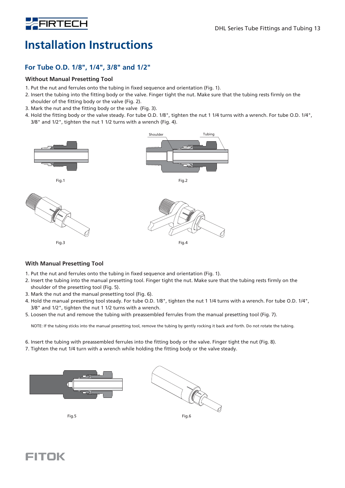

## **Installation Instructions**

### **For Tube O.D. 1/8", 1/4", 3/8" and 1/2"**

### **Without Manual Presetting Tool**

- 1. Put the nut and ferrules onto the tubing in fixed sequence and orientation (Fig. 1).
- 2. Insert the tubing into the fitting body or the valve. Finger tight the nut. Make sure that the tubing rests firmly on the shoulder of the fitting body or the valve (Fig. 2).
- 3. Mark the nut and the fitting body or the valve (Fig. 3).
- 4. Hold the fitting body or the valve steady. For tube O.D. 1/8", tighten the nut 1 1/4 turns with a wrench. For tube O.D. 1/4", 3/8" and 1/2", tighten the nut 1 1/2 turns with a wrench (Fig. 4).



### **With Manual Presetting Tool**

- 1. Put the nut and ferrules onto the tubing in fixed sequence and orientation (Fig. 1).
- 2. Insert the tubing into the manual presetting tool. Finger tight the nut. Make sure that the tubing rests firmly on the shoulder of the presetting tool (Fig. 5).
- 3. Mark the nut and the manual presetting tool (Fig. 6).
- 4. Hold the manual presetting tool steady. For tube O.D. 1/8", tighten the nut 1 1/4 turns with a wrench. For tube O.D. 1/4", 3/8" and 1/2", tighten the nut 1 1/2 turns with a wrench.
- 5. Loosen the nut and remove the tubing with preassembled ferrules from the manual presetting tool (Fig. 7).

NOTE: If the tubing sticks into the manual presetting tool, remove the tubing by gently rocking it back and forth. Do not rotate the tubing.

6. Insert the tubing with preassembled ferrules into the fitting body or the valve. Finger tight the nut (Fig. 8).

7. Tighten the nut 1/4 turn with a wrench while holding the fitting body or the valve steady.





## FITOK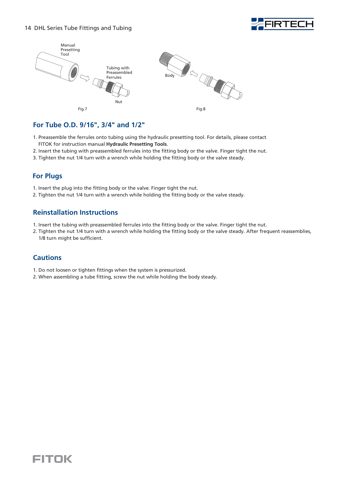#### 14 DHL Series Tube Fittings and Tubing





### **For Tube O.D. 9/16", 3/4" and 1/2"**

- 1. Preassemble the ferrules onto tubing using the hydraulic presetting tool. For details, please contact FITOK for instruction manual **Hydraulic Presetting Tools**.
- 2. Insert the tubing with preassembled ferrules into the fitting body or the valve. Finger tight the nut.
- 3. Tighten the nut 1/4 turn with a wrench while holding the fitting body or the valve steady.

### **For Plugs**

- 1. Insert the plug into the fitting body or the valve.Finger tight the nut.
- 2. Tighten the nut 1/4 turn with a wrench while holding the fitting body or the valve steady.

### **Reinstallation Instructions**

- 1. Insert the tubing with preassembled ferrules into the fitting body or the valve. Finger tight the nut.
- 2. Tighten the nut 1/4 turn with a wrench while holding the fitting body or the valve steady. After frequent reassemblies, 1/8 turn might be sufficient.

### **Cautions**

- 1. Do not loosen or tighten fittings when the system is pressurized.
- 2. When assembling a tube fitting, screw the nut while holding the body steady.

## **FITOK**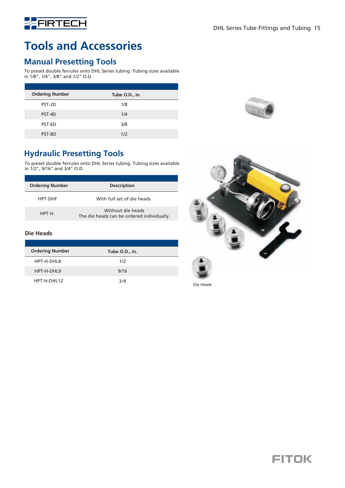

## **Tools and Accessories**

### **Manual Presetting Tools**

To preset double ferrules onto DHL Series tubing. Tubing sizes available in 1/8", 1/4", 3/8" and 1/2" O.D.

| <b>Ordering Number</b> | Tube O.D., in. |
|------------------------|----------------|
| PST-2D                 | 1/8            |
| PST-4D                 | 1/4            |
| PST-6D                 | 3/8            |
| PST-8D                 | 1/2            |

## **Hydraulic Presetting Tools**

To preset double ferrules onto DHL Series tubing. Tubing sizes available in 1/2", 9/16" and 3/4" O.D.

| <b>Ordering Number</b> | <b>Description</b>                                              |
|------------------------|-----------------------------------------------------------------|
| HPT-DHF                | With full set of die heads                                      |
| HPT-H                  | Without die heads<br>The die heads can be ordered individually. |

### **Die Heads**

| <b>Ordering Number</b> | Tube O.D., in. |  |
|------------------------|----------------|--|
| HPT-H-DHL8             | 1/2            |  |
| HPT-H-DHL9             | 9/16           |  |
| HPT-H-DHI 12           | 3/4            |  |